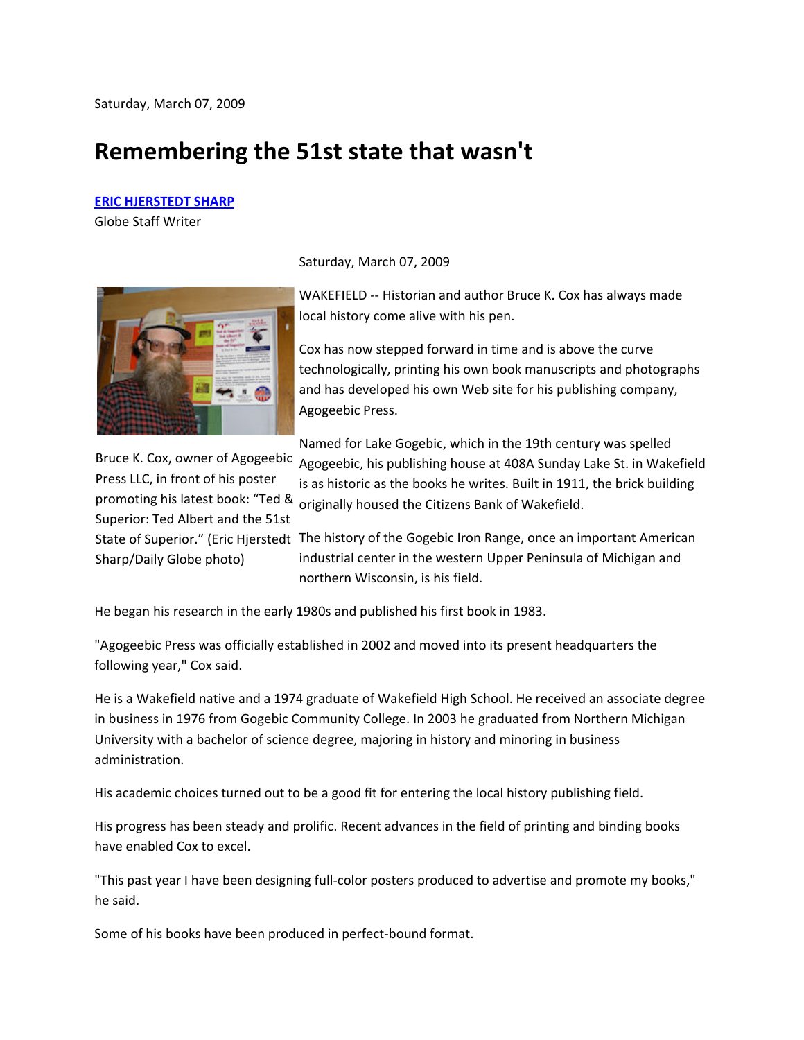## **Remembering the 51st state that wasn't**

## **ERIC HJERSTEDT SHARP**

Globe Staff Writer



Saturday, March 07, 2009

WAKEFIELD -- Historian and author Bruce K. Cox has always made local history come alive with his pen.

Cox has now stepped forward in time and is above the curve technologically, printing his own book manuscripts and photographs and has developed his own Web site for his publishing company, Agogeebic Press.

Bruce K. Cox, owner of Agogeebic Press LLC, in front of his poster promoting his latest book: "Ted & Superior: Ted Albert and the 51st Sharp/Daily Globe photo)

Named for Lake Gogebic, which in the 19th century was spelled Agogeebic, his publishing house at 408A Sunday Lake St. in Wakefield is as historic as the books he writes. Built in 1911, the brick building originally housed the Citizens Bank of Wakefield.

State of Superior." (Eric Hjerstedt The history of the Gogebic Iron Range, once an important American industrial center in the western Upper Peninsula of Michigan and northern Wisconsin, is his field.

He began his research in the early 1980s and published his first book in 1983.

"Agogeebic Press was officially established in 2002 and moved into its present headquarters the following year," Cox said.

He is a Wakefield native and a 1974 graduate of Wakefield High School. He received an associate degree in business in 1976 from Gogebic Community College. In 2003 he graduated from Northern Michigan University with a bachelor of science degree, majoring in history and minoring in business administration.

His academic choices turned out to be a good fit for entering the local history publishing field.

His progress has been steady and prolific. Recent advances in the field of printing and binding books have enabled Cox to excel.

"This past year I have been designing full-color posters produced to advertise and promote my books," he said.

Some of his books have been produced in perfect-bound format.